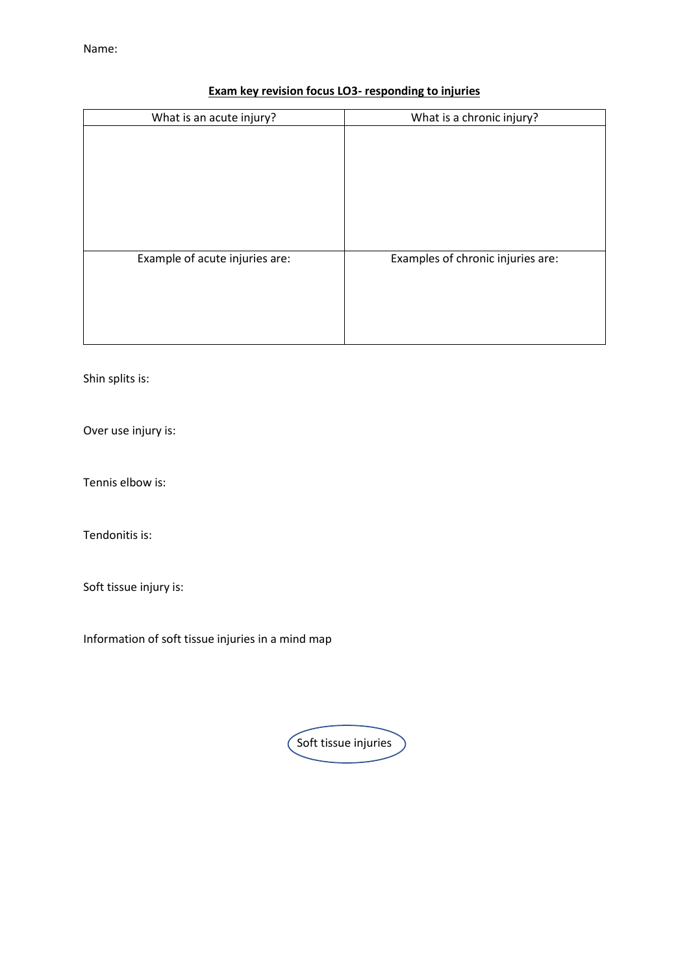## **Exam key revision focus LO3- responding to injuries**

| What is a chronic injury?         |
|-----------------------------------|
|                                   |
|                                   |
|                                   |
|                                   |
|                                   |
|                                   |
|                                   |
| Examples of chronic injuries are: |
|                                   |
|                                   |
|                                   |
|                                   |
|                                   |

Shin splits is:

Over use injury is:

Tennis elbow is:

Tendonitis is:

Soft tissue injury is:

Information of soft tissue injuries in a mind map

Soft tissue injuries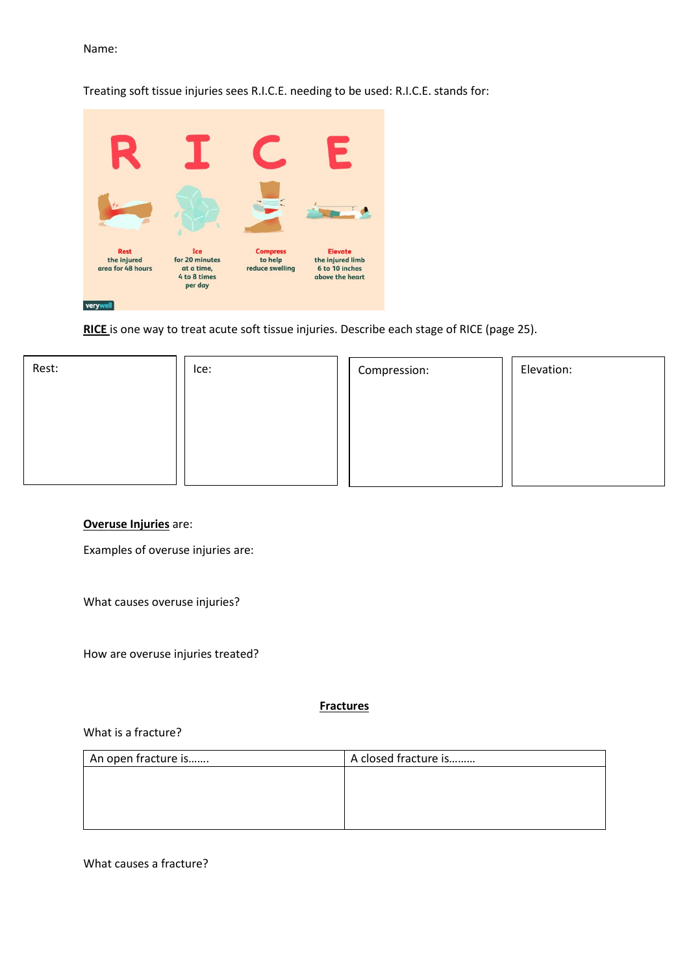#### Treating soft tissue injuries sees R.I.C.E. needing to be used: R.I.C.E. stands for:



**RICE** is one way to treat acute soft tissue injuries. Describe each stage of RICE (page 25).

| Rest: | Ice: | Compression: | Elevation: |
|-------|------|--------------|------------|
|       |      |              |            |
|       |      |              |            |
|       |      |              |            |

#### **Overuse Injuries** are:

Examples of overuse injuries are:

What causes overuse injuries?

How are overuse injuries treated?

**Fractures**

#### What is a fracture?

| An open fracture is | A closed fracture is |
|---------------------|----------------------|
|                     |                      |
|                     |                      |
|                     |                      |
|                     |                      |

What causes a fracture?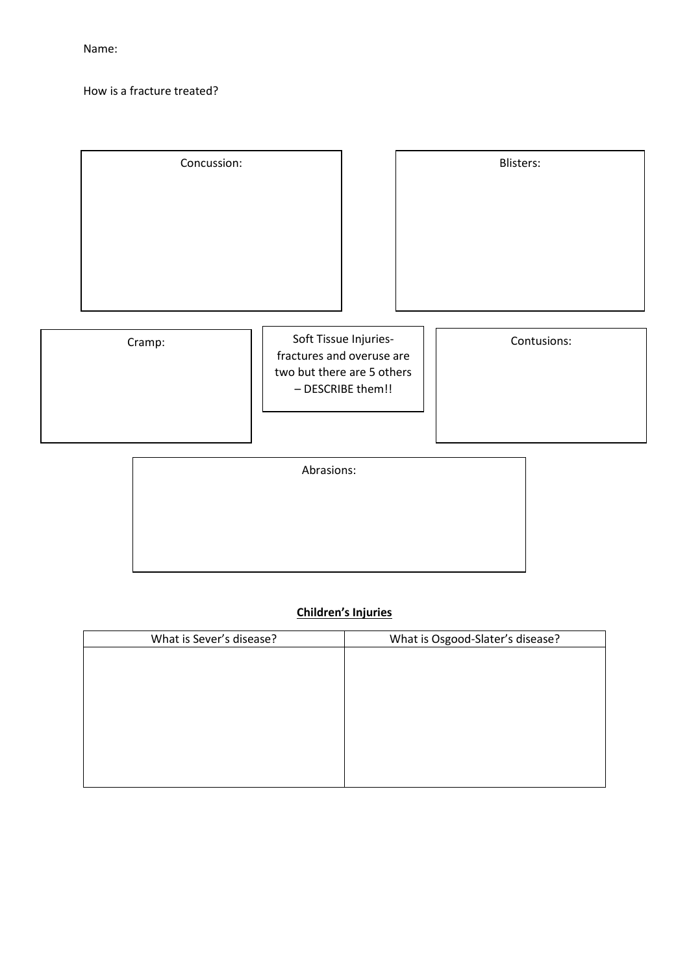How is a fracture treated?

| Concussion: |                                                                                                       | Blisters:   |
|-------------|-------------------------------------------------------------------------------------------------------|-------------|
|             |                                                                                                       |             |
| Cramp:      | Soft Tissue Injuries-<br>fractures and overuse are<br>two but there are 5 others<br>- DESCRIBE them!! | Contusions: |
|             | Abrasions:                                                                                            |             |

## **Children's Injuries**

| What is Sever's disease? | What is Osgood-Slater's disease? |
|--------------------------|----------------------------------|
|                          |                                  |
|                          |                                  |
|                          |                                  |
|                          |                                  |
|                          |                                  |
|                          |                                  |
|                          |                                  |
|                          |                                  |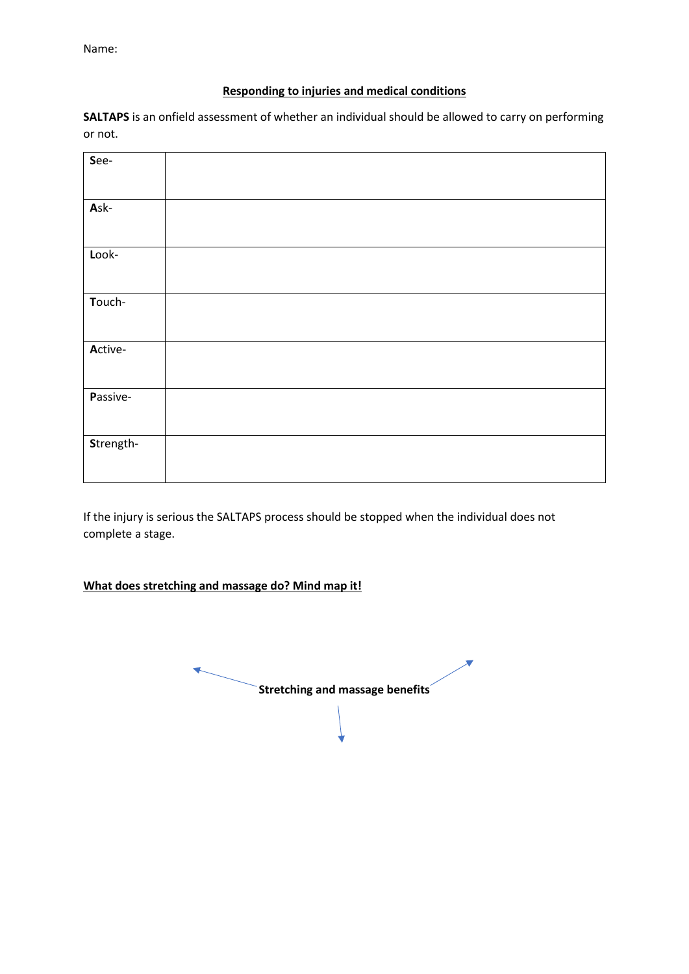#### **Responding to injuries and medical conditions**

**SALTAPS** is an onfield assessment of whether an individual should be allowed to carry on performing or not.

| See-      |  |  |
|-----------|--|--|
| Ask-      |  |  |
| Look-     |  |  |
| Touch-    |  |  |
| Active-   |  |  |
| Passive-  |  |  |
| Strength- |  |  |

If the injury is serious the SALTAPS process should be stopped when the individual does not complete a stage.

## **What does stretching and massage do? Mind map it!**

**Stretching and massage benefits**